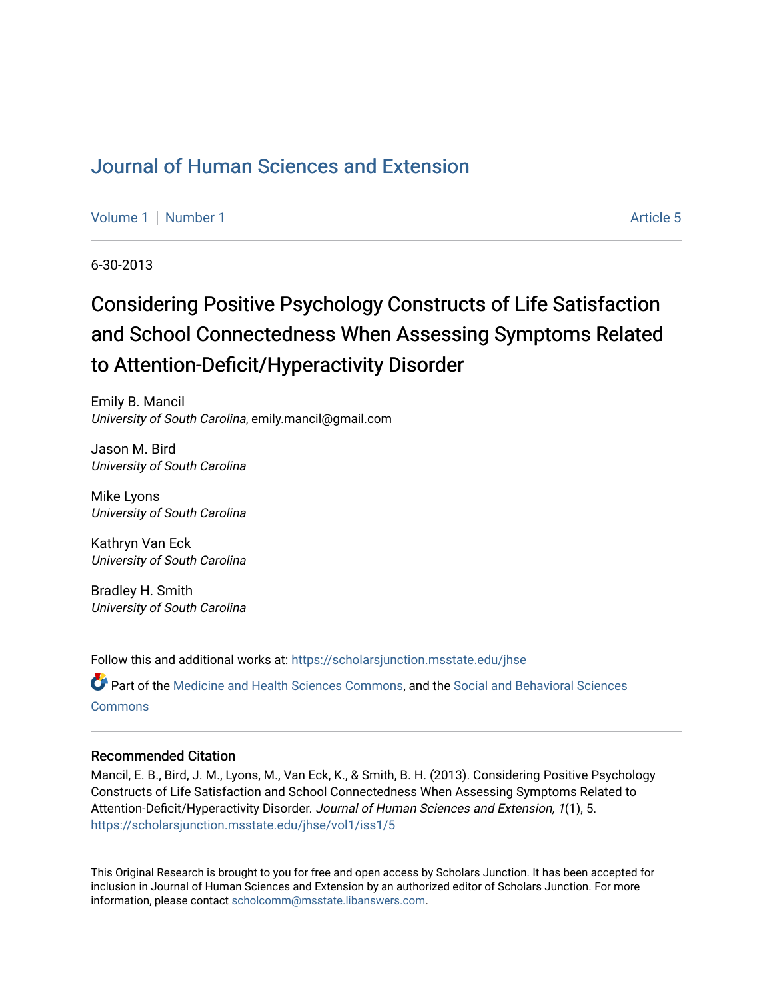## [Journal of Human Sciences and Extension](https://scholarsjunction.msstate.edu/jhse)

[Volume 1](https://scholarsjunction.msstate.edu/jhse/vol1) | [Number 1](https://scholarsjunction.msstate.edu/jhse/vol1/iss1) Article 5

6-30-2013

# Considering Positive Psychology Constructs of Life Satisfaction and School Connectedness When Assessing Symptoms Related to Attention-Deficit/Hyperactivity Disorder

Emily B. Mancil University of South Carolina, emily.mancil@gmail.com

Jason M. Bird University of South Carolina

Mike Lyons University of South Carolina

Kathryn Van Eck University of South Carolina

Bradley H. Smith University of South Carolina

Follow this and additional works at: [https://scholarsjunction.msstate.edu/jhse](https://scholarsjunction.msstate.edu/jhse?utm_source=scholarsjunction.msstate.edu%2Fjhse%2Fvol1%2Fiss1%2F5&utm_medium=PDF&utm_campaign=PDFCoverPages)

Part of the [Medicine and Health Sciences Commons,](http://network.bepress.com/hgg/discipline/648?utm_source=scholarsjunction.msstate.edu%2Fjhse%2Fvol1%2Fiss1%2F5&utm_medium=PDF&utm_campaign=PDFCoverPages) and the [Social and Behavioral Sciences](http://network.bepress.com/hgg/discipline/316?utm_source=scholarsjunction.msstate.edu%2Fjhse%2Fvol1%2Fiss1%2F5&utm_medium=PDF&utm_campaign=PDFCoverPages) **[Commons](http://network.bepress.com/hgg/discipline/316?utm_source=scholarsjunction.msstate.edu%2Fjhse%2Fvol1%2Fiss1%2F5&utm_medium=PDF&utm_campaign=PDFCoverPages)** 

#### Recommended Citation

Mancil, E. B., Bird, J. M., Lyons, M., Van Eck, K., & Smith, B. H. (2013). Considering Positive Psychology Constructs of Life Satisfaction and School Connectedness When Assessing Symptoms Related to Attention-Deficit/Hyperactivity Disorder. Journal of Human Sciences and Extension, 1(1), 5. [https://scholarsjunction.msstate.edu/jhse/vol1/iss1/5](https://scholarsjunction.msstate.edu/jhse/vol1/iss1/5?utm_source=scholarsjunction.msstate.edu%2Fjhse%2Fvol1%2Fiss1%2F5&utm_medium=PDF&utm_campaign=PDFCoverPages)

This Original Research is brought to you for free and open access by Scholars Junction. It has been accepted for inclusion in Journal of Human Sciences and Extension by an authorized editor of Scholars Junction. For more information, please contact [scholcomm@msstate.libanswers.com](mailto:scholcomm@msstate.libanswers.com).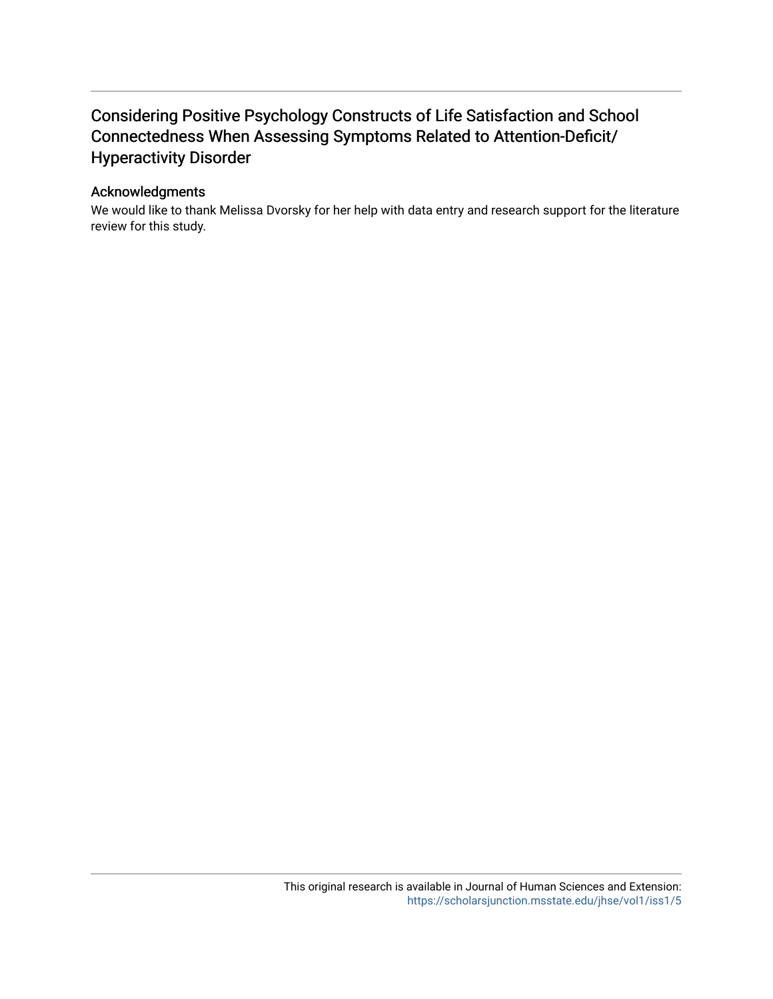## Considering Positive Psychology Constructs of Life Satisfaction and School Connectedness When Assessing Symptoms Related to Attention-Deficit/ Hyperactivity Disorder

#### Acknowledgments

We would like to thank Melissa Dvorsky for her help with data entry and research support for the literature review for this study.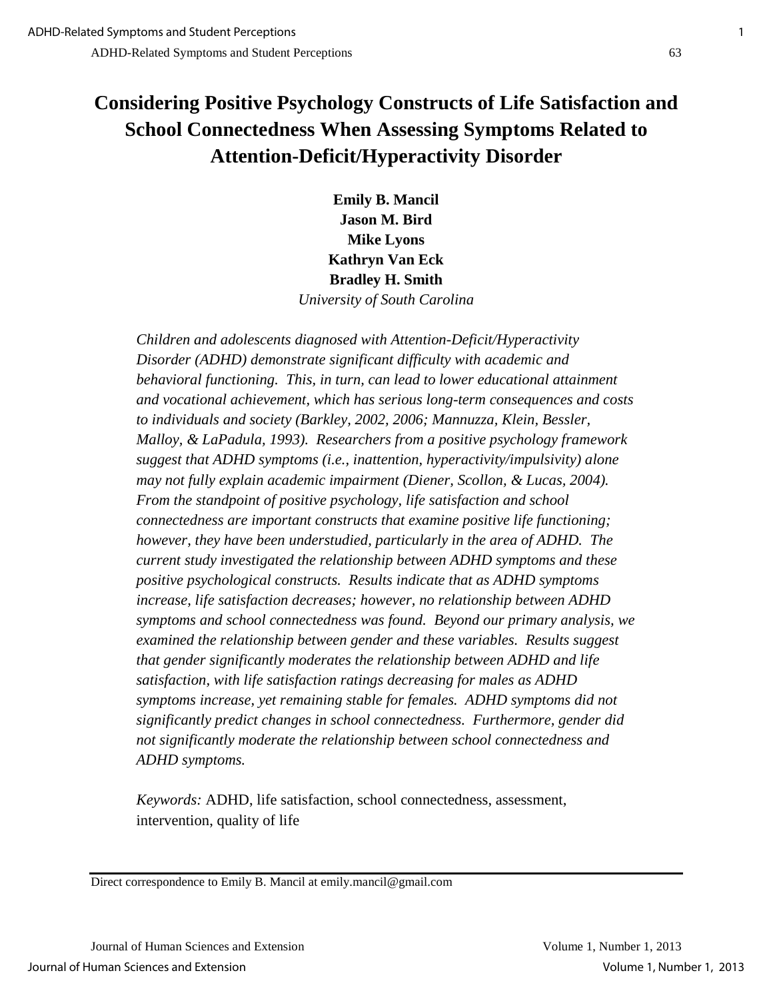## **Considering Positive Psychology Constructs of Life Satisfaction and School Connectedness When Assessing Symptoms Related to Attention-Deficit/Hyperactivity Disorder**

**Emily B. Mancil Jason M. Bird Mike Lyons Kathryn Van Eck Bradley H. Smith**  *University of South Carolina*

*Children and adolescents diagnosed with Attention-Deficit/Hyperactivity Disorder (ADHD) demonstrate significant difficulty with academic and behavioral functioning. This, in turn, can lead to lower educational attainment and vocational achievement, which has serious long-term consequences and costs to individuals and society (Barkley, 2002, 2006; Mannuzza, Klein, Bessler, Malloy, & LaPadula, 1993). Researchers from a positive psychology framework suggest that ADHD symptoms (i.e., inattention, hyperactivity/impulsivity) alone may not fully explain academic impairment (Diener, Scollon, & Lucas, 2004). From the standpoint of positive psychology, life satisfaction and school connectedness are important constructs that examine positive life functioning; however, they have been understudied, particularly in the area of ADHD. The current study investigated the relationship between ADHD symptoms and these positive psychological constructs. Results indicate that as ADHD symptoms increase, life satisfaction decreases; however, no relationship between ADHD symptoms and school connectedness was found. Beyond our primary analysis, we examined the relationship between gender and these variables. Results suggest that gender significantly moderates the relationship between ADHD and life satisfaction, with life satisfaction ratings decreasing for males as ADHD symptoms increase, yet remaining stable for females. ADHD symptoms did not significantly predict changes in school connectedness. Furthermore, gender did not significantly moderate the relationship between school connectedness and ADHD symptoms.* 

*Keywords:* ADHD, life satisfaction, school connectedness, assessment, intervention, quality of life

Direct correspondence to Emily B. Mancil at emily.mancil@gmail.com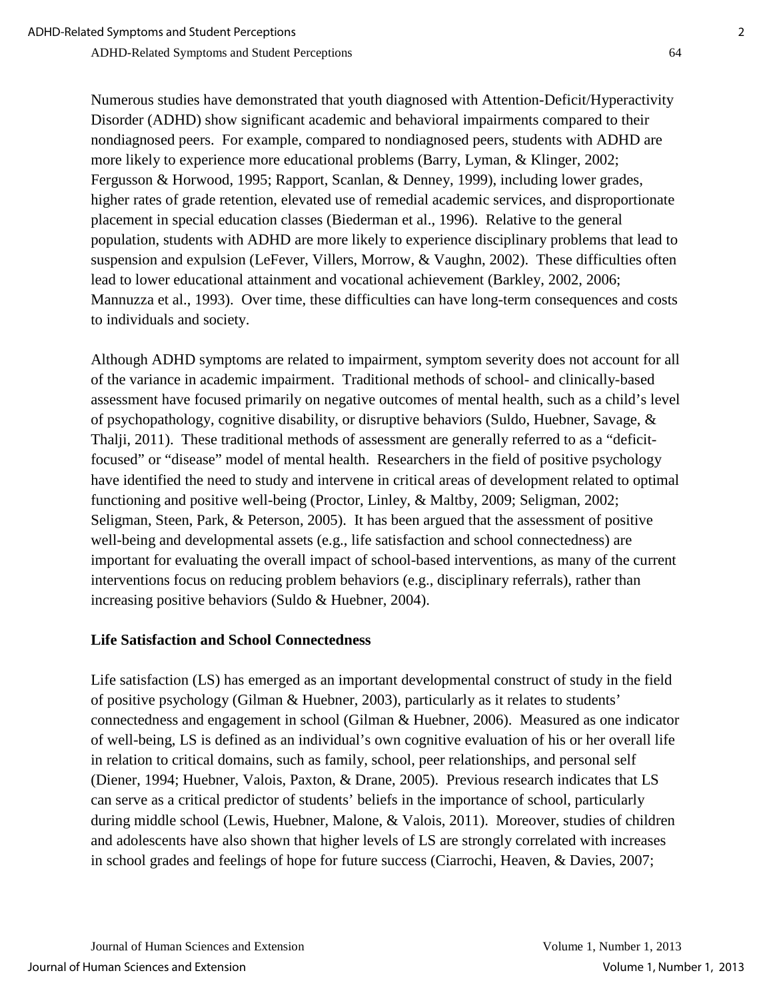Numerous studies have demonstrated that youth diagnosed with Attention-Deficit/Hyperactivity Disorder (ADHD) show significant academic and behavioral impairments compared to their nondiagnosed peers. For example, compared to nondiagnosed peers, students with ADHD are more likely to experience more educational problems (Barry, Lyman, & Klinger, 2002; Fergusson & Horwood, 1995; Rapport, Scanlan, & Denney, 1999), including lower grades, higher rates of grade retention, elevated use of remedial academic services, and disproportionate placement in special education classes (Biederman et al., 1996). Relative to the general population, students with ADHD are more likely to experience disciplinary problems that lead to suspension and expulsion (LeFever, Villers, Morrow, & Vaughn, 2002). These difficulties often lead to lower educational attainment and vocational achievement (Barkley, 2002, 2006; Mannuzza et al., 1993). Over time, these difficulties can have long-term consequences and costs to individuals and society.

Although ADHD symptoms are related to impairment, symptom severity does not account for all of the variance in academic impairment. Traditional methods of school- and clinically-based assessment have focused primarily on negative outcomes of mental health, such as a child's level of psychopathology, cognitive disability, or disruptive behaviors (Suldo, Huebner, Savage, & Thalji, 2011). These traditional methods of assessment are generally referred to as a "deficitfocused" or "disease" model of mental health. Researchers in the field of positive psychology have identified the need to study and intervene in critical areas of development related to optimal functioning and positive well-being (Proctor, Linley, & Maltby, 2009; Seligman, 2002; Seligman, Steen, Park, & Peterson, 2005). It has been argued that the assessment of positive well-being and developmental assets (e.g., life satisfaction and school connectedness) are important for evaluating the overall impact of school-based interventions, as many of the current interventions focus on reducing problem behaviors (e.g., disciplinary referrals), rather than increasing positive behaviors (Suldo & Huebner, 2004).

#### **Life Satisfaction and School Connectedness**

Life satisfaction (LS) has emerged as an important developmental construct of study in the field of positive psychology (Gilman & Huebner, 2003), particularly as it relates to students' connectedness and engagement in school (Gilman & Huebner, 2006). Measured as one indicator of well-being, LS is defined as an individual's own cognitive evaluation of his or her overall life in relation to critical domains, such as family, school, peer relationships, and personal self (Diener, 1994; Huebner, Valois, Paxton, & Drane, 2005). Previous research indicates that LS can serve as a critical predictor of students' beliefs in the importance of school, particularly during middle school (Lewis, Huebner, Malone, & Valois, 2011). Moreover, studies of children and adolescents have also shown that higher levels of LS are strongly correlated with increases in school grades and feelings of hope for future success (Ciarrochi, Heaven, & Davies, 2007;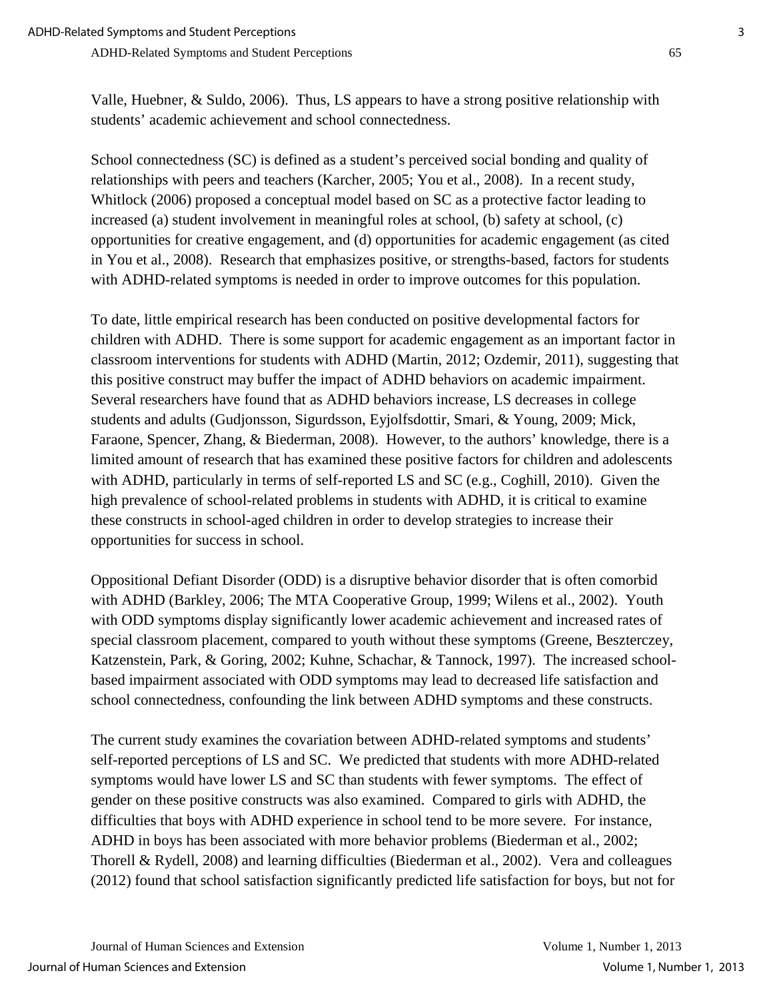Valle, Huebner, & Suldo, 2006). Thus, LS appears to have a strong positive relationship with students' academic achievement and school connectedness.

School connectedness (SC) is defined as a student's perceived social bonding and quality of relationships with peers and teachers (Karcher, 2005; You et al., 2008). In a recent study, Whitlock (2006) proposed a conceptual model based on SC as a protective factor leading to increased (a) student involvement in meaningful roles at school, (b) safety at school, (c) opportunities for creative engagement, and (d) opportunities for academic engagement (as cited in You et al., 2008). Research that emphasizes positive, or strengths-based, factors for students with ADHD-related symptoms is needed in order to improve outcomes for this population.

To date, little empirical research has been conducted on positive developmental factors for children with ADHD. There is some support for academic engagement as an important factor in classroom interventions for students with ADHD (Martin, 2012; Ozdemir, 2011), suggesting that this positive construct may buffer the impact of ADHD behaviors on academic impairment. Several researchers have found that as ADHD behaviors increase, LS decreases in college students and adults (Gudjonsson, Sigurdsson, Eyjolfsdottir, Smari, & Young, 2009; Mick, Faraone, Spencer, Zhang, & Biederman, 2008). However, to the authors' knowledge, there is a limited amount of research that has examined these positive factors for children and adolescents with ADHD, particularly in terms of self-reported LS and SC (e.g., Coghill, 2010). Given the high prevalence of school-related problems in students with ADHD, it is critical to examine these constructs in school-aged children in order to develop strategies to increase their opportunities for success in school.

Oppositional Defiant Disorder (ODD) is a disruptive behavior disorder that is often comorbid with ADHD (Barkley, 2006; The MTA Cooperative Group, 1999; Wilens et al., 2002). Youth with ODD symptoms display significantly lower academic achievement and increased rates of special classroom placement, compared to youth without these symptoms (Greene, Beszterczey, Katzenstein, Park, & Goring, 2002; Kuhne, Schachar, & Tannock, 1997). The increased schoolbased impairment associated with ODD symptoms may lead to decreased life satisfaction and school connectedness, confounding the link between ADHD symptoms and these constructs.

The current study examines the covariation between ADHD-related symptoms and students' self-reported perceptions of LS and SC. We predicted that students with more ADHD-related symptoms would have lower LS and SC than students with fewer symptoms. The effect of gender on these positive constructs was also examined. Compared to girls with ADHD, the difficulties that boys with ADHD experience in school tend to be more severe. For instance, ADHD in boys has been associated with more behavior problems (Biederman et al., 2002; Thorell & Rydell, 2008) and learning difficulties (Biederman et al., 2002). Vera and colleagues (2012) found that school satisfaction significantly predicted life satisfaction for boys, but not for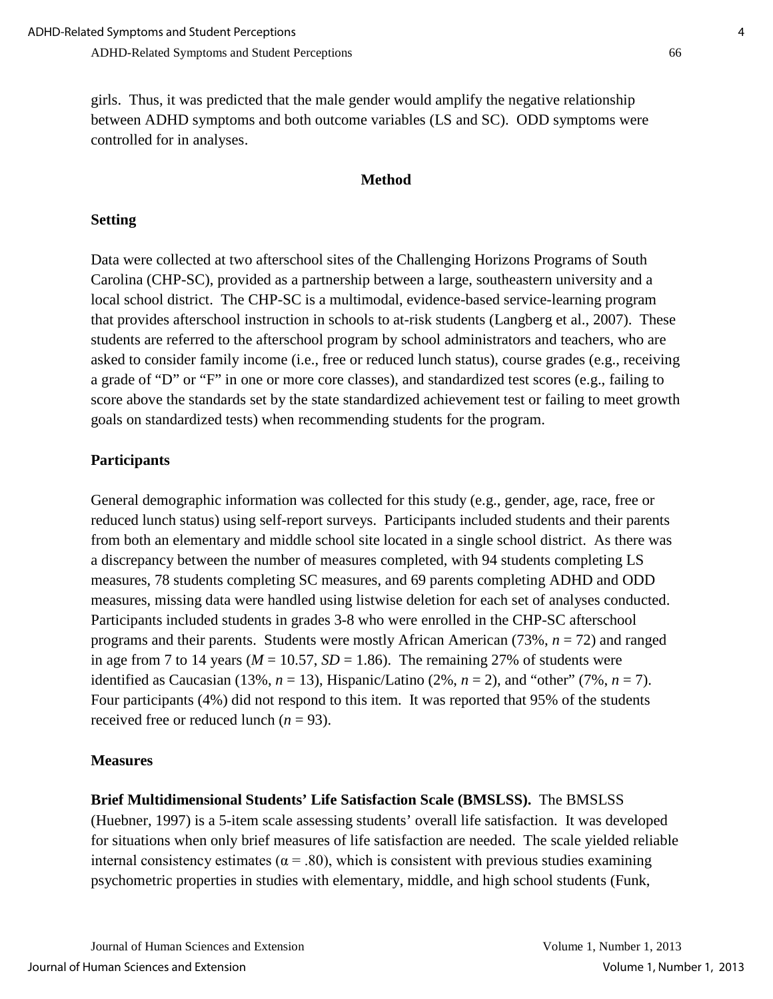girls. Thus, it was predicted that the male gender would amplify the negative relationship between ADHD symptoms and both outcome variables (LS and SC). ODD symptoms were controlled for in analyses.

#### **Method**

#### **Setting**

Data were collected at two afterschool sites of the Challenging Horizons Programs of South Carolina (CHP-SC), provided as a partnership between a large, southeastern university and a local school district. The CHP-SC is a multimodal, evidence-based service-learning program that provides afterschool instruction in schools to at-risk students (Langberg et al., 2007). These students are referred to the afterschool program by school administrators and teachers, who are asked to consider family income (i.e., free or reduced lunch status), course grades (e.g., receiving a grade of "D" or "F" in one or more core classes), and standardized test scores (e.g., failing to score above the standards set by the state standardized achievement test or failing to meet growth goals on standardized tests) when recommending students for the program.

#### **Participants**

General demographic information was collected for this study (e.g., gender, age, race, free or reduced lunch status) using self-report surveys. Participants included students and their parents from both an elementary and middle school site located in a single school district. As there was a discrepancy between the number of measures completed, with 94 students completing LS measures, 78 students completing SC measures, and 69 parents completing ADHD and ODD measures, missing data were handled using listwise deletion for each set of analyses conducted. Participants included students in grades 3-8 who were enrolled in the CHP-SC afterschool programs and their parents. Students were mostly African American (73%, *n* = 72) and ranged in age from 7 to 14 years ( $M = 10.57$ ,  $SD = 1.86$ ). The remaining 27% of students were identified as Caucasian (13%,  $n = 13$ ), Hispanic/Latino (2%,  $n = 2$ ), and "other" (7%,  $n = 7$ ). Four participants (4%) did not respond to this item. It was reported that 95% of the students received free or reduced lunch  $(n = 93)$ .

#### **Measures**

#### **Brief Multidimensional Students' Life Satisfaction Scale (BMSLSS).** The BMSLSS

(Huebner, 1997) is a 5-item scale assessing students' overall life satisfaction. It was developed for situations when only brief measures of life satisfaction are needed. The scale yielded reliable internal consistency estimates ( $\alpha$  = .80), which is consistent with previous studies examining psychometric properties in studies with elementary, middle, and high school students (Funk,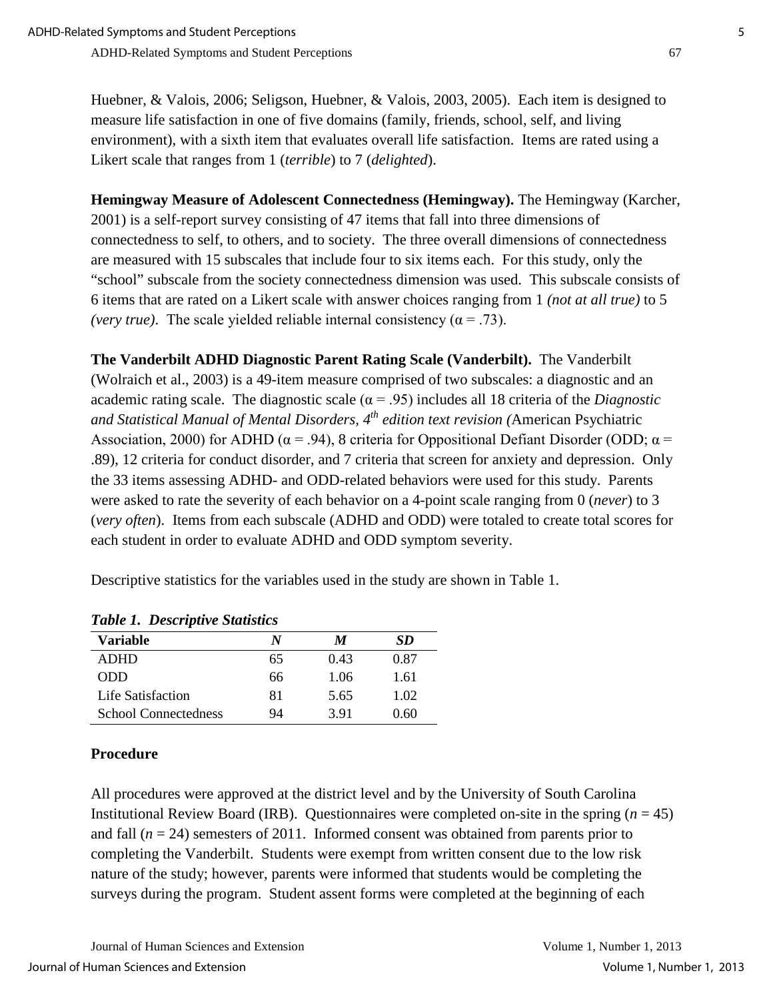Huebner, & Valois, 2006; Seligson, Huebner, & Valois, 2003, 2005). Each item is designed to measure life satisfaction in one of five domains (family, friends, school, self, and living environment), with a sixth item that evaluates overall life satisfaction. Items are rated using a Likert scale that ranges from 1 (*terrible*) to 7 (*delighted*).

**Hemingway Measure of Adolescent Connectedness (Hemingway).** The Hemingway (Karcher, 2001) is a self-report survey consisting of 47 items that fall into three dimensions of connectedness to self, to others, and to society. The three overall dimensions of connectedness are measured with 15 subscales that include four to six items each. For this study, only the "school" subscale from the society connectedness dimension was used. This subscale consists of 6 items that are rated on a Likert scale with answer choices ranging from 1 *(not at all true)* to 5 *(very true)*. The scale yielded reliable internal consistency  $(\alpha = .73)$ .

**The Vanderbilt ADHD Diagnostic Parent Rating Scale (Vanderbilt).** The Vanderbilt (Wolraich et al., 2003) is a 49-item measure comprised of two subscales: a diagnostic and an academic rating scale. The diagnostic scale ( $\alpha$  = .95) includes all 18 criteria of the *Diagnostic and Statistical Manual of Mental Disorders, 4th edition text revision (*American Psychiatric Association, 2000) for ADHD ( $\alpha$  = .94), 8 criteria for Oppositional Defiant Disorder (ODD;  $\alpha$  = .89), 12 criteria for conduct disorder, and 7 criteria that screen for anxiety and depression. Only the 33 items assessing ADHD- and ODD-related behaviors were used for this study. Parents were asked to rate the severity of each behavior on a 4-point scale ranging from 0 (*never*) to 3 (*very often*). Items from each subscale (ADHD and ODD) were totaled to create total scores for each student in order to evaluate ADHD and ODD symptom severity.

Descriptive statistics for the variables used in the study are shown in Table 1.

| Tubic 1. Descriptive Statistics<br><b>Variable</b><br>SD.<br>N<br>M |    |      |      |  |
|---------------------------------------------------------------------|----|------|------|--|
| <b>ADHD</b>                                                         | 65 | 0.43 | 0.87 |  |
| <b>ODD</b>                                                          | 66 | 1.06 | 1.61 |  |
| Life Satisfaction                                                   | 81 | 5.65 | 1.02 |  |
| <b>School Connectedness</b>                                         | 94 | 3.91 | 0.60 |  |

## **Procedure**

All procedures were approved at the district level and by the University of South Carolina Institutional Review Board (IRB). Questionnaires were completed on-site in the spring  $(n = 45)$ and fall  $(n = 24)$  semesters of 2011. Informed consent was obtained from parents prior to completing the Vanderbilt. Students were exempt from written consent due to the low risk nature of the study; however, parents were informed that students would be completing the surveys during the program. Student assent forms were completed at the beginning of each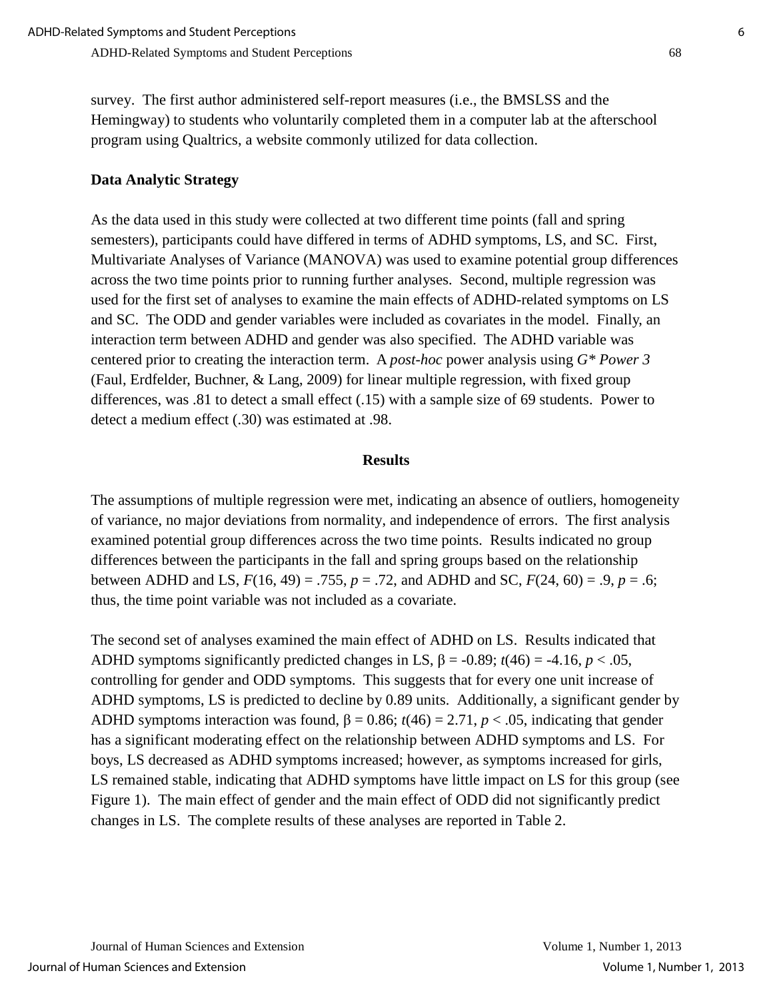survey. The first author administered self-report measures (i.e., the BMSLSS and the Hemingway) to students who voluntarily completed them in a computer lab at the afterschool program using Qualtrics, a website commonly utilized for data collection.

#### **Data Analytic Strategy**

As the data used in this study were collected at two different time points (fall and spring semesters), participants could have differed in terms of ADHD symptoms, LS, and SC. First, Multivariate Analyses of Variance (MANOVA) was used to examine potential group differences across the two time points prior to running further analyses. Second, multiple regression was used for the first set of analyses to examine the main effects of ADHD-related symptoms on LS and SC. The ODD and gender variables were included as covariates in the model. Finally, an interaction term between ADHD and gender was also specified. The ADHD variable was centered prior to creating the interaction term. A *post-hoc* power analysis using *G\* Power 3* (Faul, Erdfelder, Buchner, & Lang, 2009) for linear multiple regression, with fixed group differences, was .81 to detect a small effect (.15) with a sample size of 69 students. Power to detect a medium effect (.30) was estimated at .98.

#### **Results**

The assumptions of multiple regression were met, indicating an absence of outliers, homogeneity of variance, no major deviations from normality, and independence of errors. The first analysis examined potential group differences across the two time points. Results indicated no group differences between the participants in the fall and spring groups based on the relationship between ADHD and LS, *F*(16, 49) = .755, *p* = .72, and ADHD and SC, *F*(24, 60) = .9, *p* = .6; thus, the time point variable was not included as a covariate.

The second set of analyses examined the main effect of ADHD on LS. Results indicated that ADHD symptoms significantly predicted changes in LS,  $\beta$  = -0.89;  $t(46)$  = -4.16,  $p < .05$ , controlling for gender and ODD symptoms. This suggests that for every one unit increase of ADHD symptoms, LS is predicted to decline by 0.89 units. Additionally, a significant gender by ADHD symptoms interaction was found,  $\beta = 0.86$ ;  $t(46) = 2.71$ ,  $p < .05$ , indicating that gender has a significant moderating effect on the relationship between ADHD symptoms and LS. For boys, LS decreased as ADHD symptoms increased; however, as symptoms increased for girls, LS remained stable, indicating that ADHD symptoms have little impact on LS for this group (see Figure 1). The main effect of gender and the main effect of ODD did not significantly predict changes in LS. The complete results of these analyses are reported in Table 2.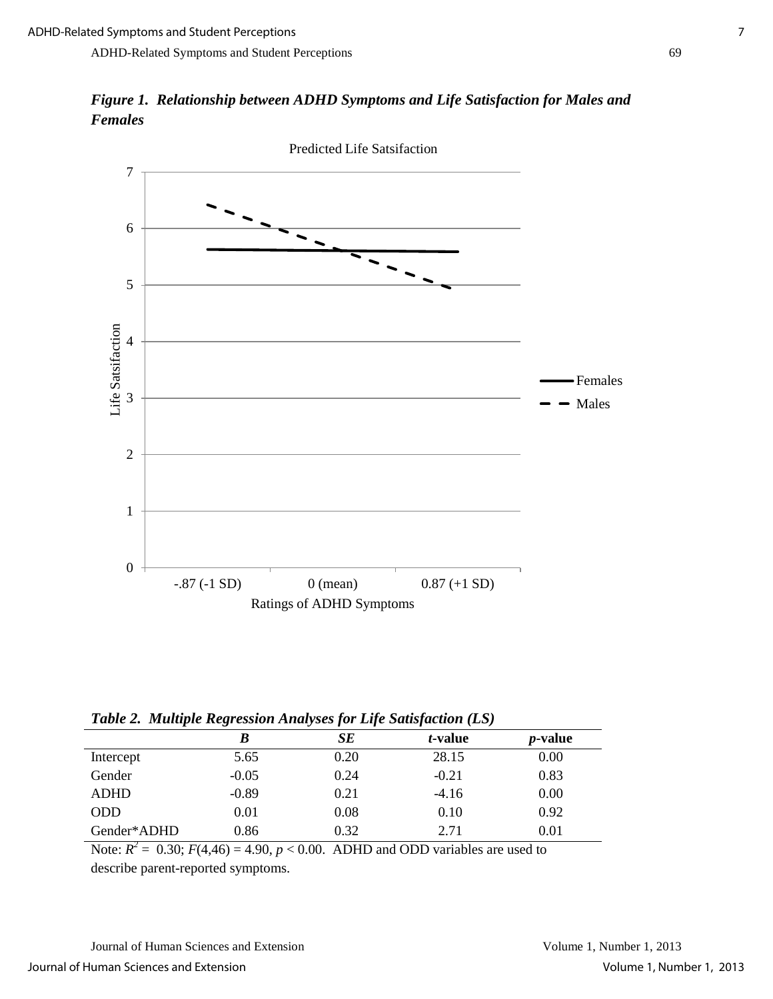*Figure 1. Relationship between ADHD Symptoms and Life Satisfaction for Males and Females*



*Table 2.**Multiple Regression Analyses for Life Satisfaction (LS)*

|             | ີ        | $\cdot$<br>$\cdot$<br>$\cdot$ |                 |                 |  |
|-------------|----------|-------------------------------|-----------------|-----------------|--|
|             | B        | SЕ                            | <i>t</i> -value | <i>p</i> -value |  |
| Intercept   | 5.65     | 0.20                          | 28.15           | 0.00            |  |
| Gender      | $-0.05$  | 0.24                          | $-0.21$         | 0.83            |  |
| <b>ADHD</b> | $-0.89$  | 0.21                          | $-4.16$         | 0.00            |  |
| <b>ODD</b>  | $0.01\,$ | 0.08                          | 0.10            | 0.92            |  |
| Gender*ADHD | 0.86     | 0.32                          | 2.71            | 0.01            |  |

Note:  $R^2 = 0.30$ ;  $F(4,46) = 4.90$ ,  $p < 0.00$ . ADHD and ODD variables are used to describe parent-reported symptoms.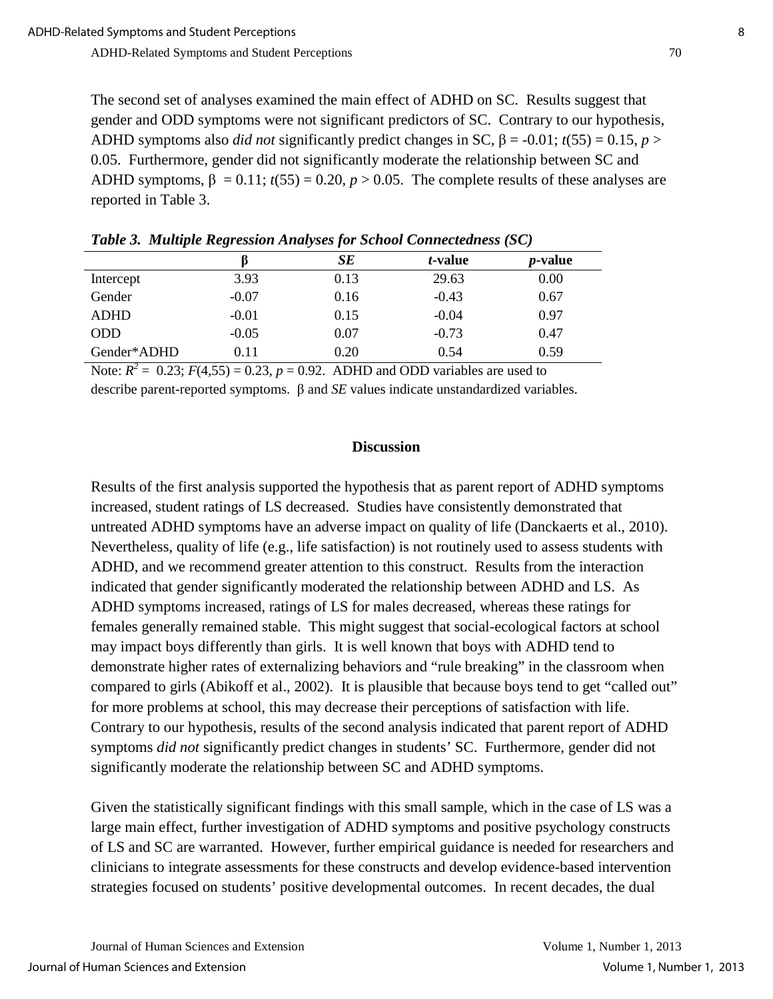The second set of analyses examined the main effect of ADHD on SC. Results suggest that gender and ODD symptoms were not significant predictors of SC. Contrary to our hypothesis, ADHD symptoms also *did not* significantly predict changes in SC,  $\beta$  = -0.01;  $t(55) = 0.15$ ,  $p >$ 0.05. Furthermore, gender did not significantly moderate the relationship between SC and ADHD symptoms,  $\beta = 0.11$ ;  $t(55) = 0.20$ ,  $p > 0.05$ . The complete results of these analyses are reported in Table 3.

|             |         | SE   | <i>t</i> -value | <i>p</i> -value |
|-------------|---------|------|-----------------|-----------------|
| Intercept   | 3.93    | 0.13 | 29.63           | 0.00            |
| Gender      | $-0.07$ | 0.16 | $-0.43$         | 0.67            |
| <b>ADHD</b> | $-0.01$ | 0.15 | $-0.04$         | 0.97            |
| <b>ODD</b>  | $-0.05$ | 0.07 | $-0.73$         | 0.47            |
| Gender*ADHD | 0.11    | 0.20 | 0.54            | 0.59            |

*Table 3.**Multiple Regression Analyses for School Connectedness (SC)*

Note:  $R^2 = 0.23$ ;  $F(4,55) = 0.23$ ,  $p = 0.92$ . ADHD and ODD variables are used to

describe parent-reported symptoms. β and *SE* values indicate unstandardized variables.

#### **Discussion**

Results of the first analysis supported the hypothesis that as parent report of ADHD symptoms increased, student ratings of LS decreased. Studies have consistently demonstrated that untreated ADHD symptoms have an adverse impact on quality of life (Danckaerts et al., 2010). Nevertheless, quality of life (e.g., life satisfaction) is not routinely used to assess students with ADHD, and we recommend greater attention to this construct. Results from the interaction indicated that gender significantly moderated the relationship between ADHD and LS. As ADHD symptoms increased, ratings of LS for males decreased, whereas these ratings for females generally remained stable. This might suggest that social-ecological factors at school may impact boys differently than girls. It is well known that boys with ADHD tend to demonstrate higher rates of externalizing behaviors and "rule breaking" in the classroom when compared to girls (Abikoff et al., 2002). It is plausible that because boys tend to get "called out" for more problems at school, this may decrease their perceptions of satisfaction with life. Contrary to our hypothesis, results of the second analysis indicated that parent report of ADHD symptoms *did not* significantly predict changes in students' SC. Furthermore, gender did not significantly moderate the relationship between SC and ADHD symptoms.

Given the statistically significant findings with this small sample, which in the case of LS was a large main effect, further investigation of ADHD symptoms and positive psychology constructs of LS and SC are warranted. However, further empirical guidance is needed for researchers and clinicians to integrate assessments for these constructs and develop evidence-based intervention strategies focused on students' positive developmental outcomes. In recent decades, the dual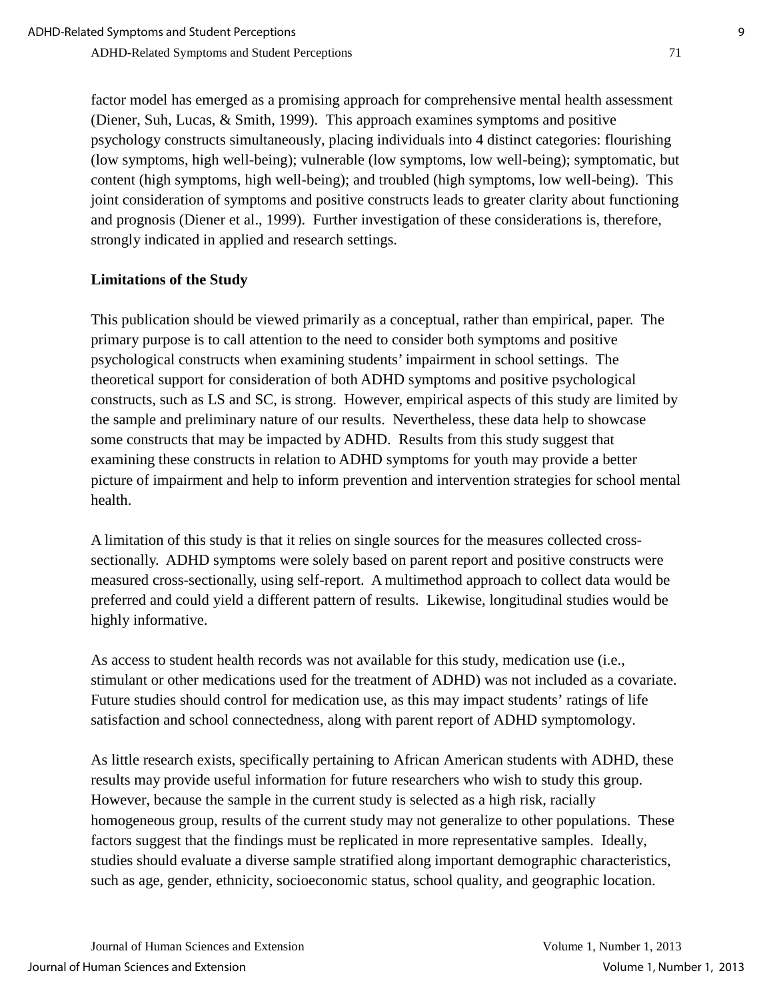factor model has emerged as a promising approach for comprehensive mental health assessment (Diener, Suh, Lucas, & Smith, 1999). This approach examines symptoms and positive psychology constructs simultaneously, placing individuals into 4 distinct categories: flourishing (low symptoms, high well-being); vulnerable (low symptoms, low well-being); symptomatic, but content (high symptoms, high well-being); and troubled (high symptoms, low well-being). This joint consideration of symptoms and positive constructs leads to greater clarity about functioning and prognosis (Diener et al., 1999). Further investigation of these considerations is, therefore, strongly indicated in applied and research settings.

#### **Limitations of the Study**

This publication should be viewed primarily as a conceptual, rather than empirical, paper. The primary purpose is to call attention to the need to consider both symptoms and positive psychological constructs when examining students' impairment in school settings. The theoretical support for consideration of both ADHD symptoms and positive psychological constructs, such as LS and SC, is strong. However, empirical aspects of this study are limited by the sample and preliminary nature of our results. Nevertheless, these data help to showcase some constructs that may be impacted by ADHD. Results from this study suggest that examining these constructs in relation to ADHD symptoms for youth may provide a better picture of impairment and help to inform prevention and intervention strategies for school mental health.

A limitation of this study is that it relies on single sources for the measures collected crosssectionally. ADHD symptoms were solely based on parent report and positive constructs were measured cross-sectionally, using self-report. A multimethod approach to collect data would be preferred and could yield a different pattern of results. Likewise, longitudinal studies would be highly informative.

As access to student health records was not available for this study, medication use (i.e., stimulant or other medications used for the treatment of ADHD) was not included as a covariate. Future studies should control for medication use, as this may impact students' ratings of life satisfaction and school connectedness, along with parent report of ADHD symptomology.

As little research exists, specifically pertaining to African American students with ADHD, these results may provide useful information for future researchers who wish to study this group. However, because the sample in the current study is selected as a high risk, racially homogeneous group, results of the current study may not generalize to other populations. These factors suggest that the findings must be replicated in more representative samples. Ideally, studies should evaluate a diverse sample stratified along important demographic characteristics, such as age, gender, ethnicity, socioeconomic status, school quality, and geographic location.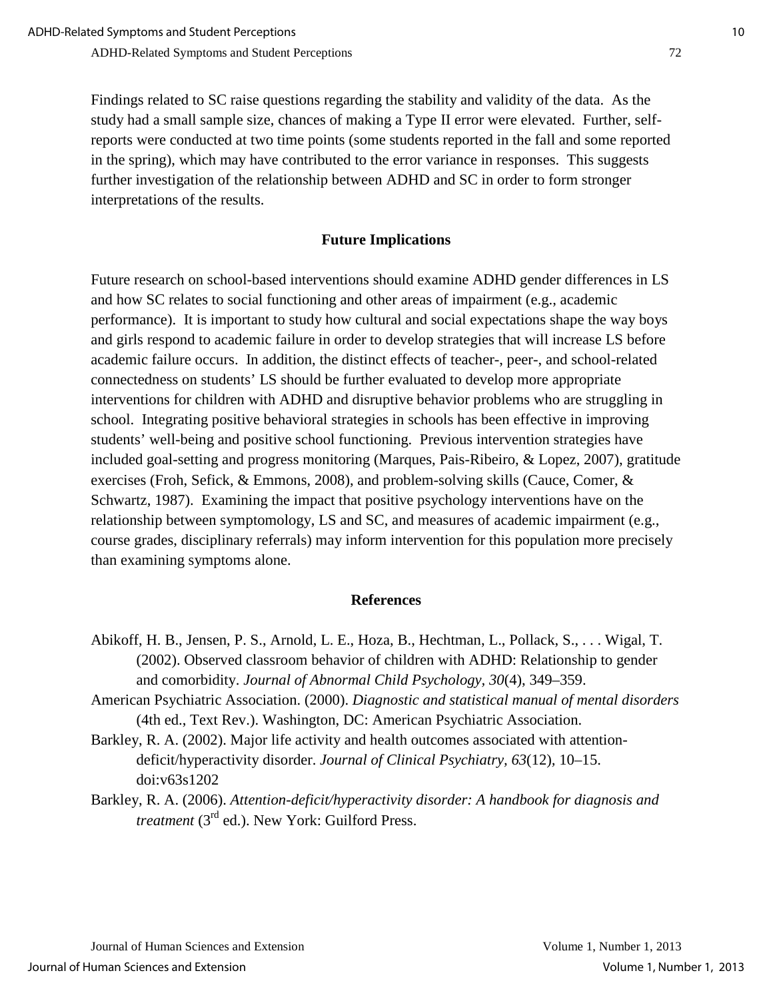Findings related to SC raise questions regarding the stability and validity of the data. As the study had a small sample size, chances of making a Type II error were elevated. Further, selfreports were conducted at two time points (some students reported in the fall and some reported in the spring), which may have contributed to the error variance in responses. This suggests further investigation of the relationship between ADHD and SC in order to form stronger interpretations of the results.

#### **Future Implications**

Future research on school-based interventions should examine ADHD gender differences in LS and how SC relates to social functioning and other areas of impairment (e.g., academic performance). It is important to study how cultural and social expectations shape the way boys and girls respond to academic failure in order to develop strategies that will increase LS before academic failure occurs. In addition, the distinct effects of teacher-, peer-, and school-related connectedness on students' LS should be further evaluated to develop more appropriate interventions for children with ADHD and disruptive behavior problems who are struggling in school. Integrating positive behavioral strategies in schools has been effective in improving students' well-being and positive school functioning. Previous intervention strategies have included goal-setting and progress monitoring (Marques, Pais-Ribeiro, & Lopez, 2007), gratitude exercises (Froh, Sefick, & Emmons, 2008), and problem-solving skills (Cauce, Comer, & Schwartz, 1987). Examining the impact that positive psychology interventions have on the relationship between symptomology, LS and SC, and measures of academic impairment (e.g., course grades, disciplinary referrals) may inform intervention for this population more precisely than examining symptoms alone.

#### **References**

- Abikoff, H. B., Jensen, P. S., Arnold, L. E., Hoza, B., Hechtman, L., Pollack, S., . . . Wigal, T. (2002). Observed classroom behavior of children with ADHD: Relationship to gender and comorbidity. *Journal of Abnormal Child Psychology, 30*(4), 349–359.
- American Psychiatric Association. (2000). *Diagnostic and statistical manual of mental disorders*  (4th ed., Text Rev.). Washington, DC: American Psychiatric Association.
- Barkley, R. A. (2002). Major life activity and health outcomes associated with attentiondeficit/hyperactivity disorder. *Journal of Clinical Psychiatry, 63*(12)*,* 10–15. doi:v63s1202
- Barkley, R. A. (2006). *Attention-deficit/hyperactivity disorder: A handbook for diagnosis and treatment* (3<sup>rd</sup> ed.). New York: Guilford Press.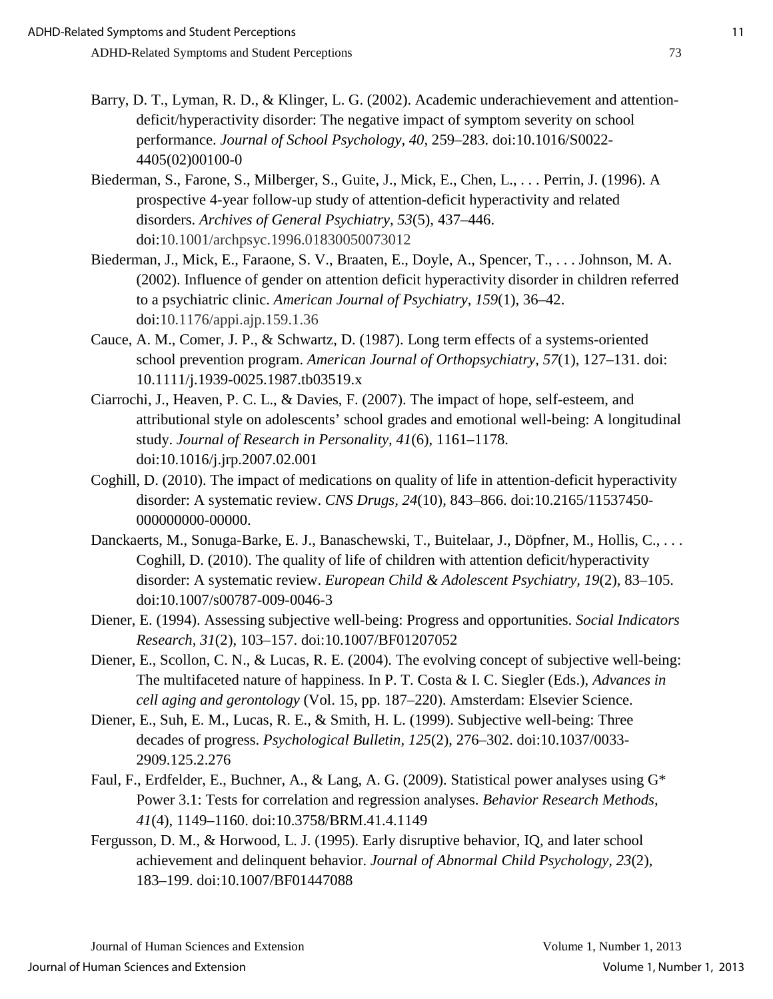- Barry, D. T., Lyman, R. D., & Klinger, L. G. (2002). Academic underachievement and attentiondeficit/hyperactivity disorder: The negative impact of symptom severity on school performance. *Journal of School Psychology, 40,* 259–283. doi:10.1016/S0022- 4405(02)00100-0
- Biederman, S., Farone, S., Milberger, S., Guite, J., Mick, E., Chen, L., . . . Perrin, J. (1996). A prospective 4-year follow-up study of attention-deficit hyperactivity and related disorders. *Archives of General Psychiatry, 53*(5)*,* 437–446. doi:10.1001/archpsyc.1996.01830050073012
- Biederman, J., Mick, E., Faraone, S. V., Braaten, E., Doyle, A., Spencer, T., . . . Johnson, M. A. (2002). Influence of gender on attention deficit hyperactivity disorder in children referred to a psychiatric clinic. *American Journal of Psychiatry, 159*(1), 36–42. doi:10.1176/appi.ajp.159.1.36
- Cauce, A. M., Comer, J. P., & Schwartz, D. (1987). Long term effects of a systems-oriented school prevention program. *American Journal of Orthopsychiatry, 57*(1), 127–131. doi: 10.1111/j.1939-0025.1987.tb03519.x
- Ciarrochi, J., Heaven, P. C. L., & Davies, F. (2007). The impact of hope, self-esteem, and attributional style on adolescents' school grades and emotional well-being: A longitudinal study. *Journal of Research in Personality, 41*(6), 1161–1178. doi[:10.1016/j.jrp.2007.02.001](http://dx.doi.org/10.1016/j.jrp.2007.02.001)
- Coghill, D. (2010). The impact of medications on quality of life in attention-deficit hyperactivity disorder: A systematic review. *CNS Drugs, 24*(10)*,* 843–866. doi:10.2165/11537450- 000000000-00000.
- Danckaerts, M., Sonuga-Barke, E. J., Banaschewski, T., Buitelaar, J., Döpfner, M., Hollis, C., . . . Coghill, D. (2010). The quality of life of children with attention deficit/hyperactivity disorder: A systematic review. *European Child & Adolescent Psychiatry, 19*(2), 83–105. doi:10.1007/s00787-009-0046-3
- Diener, E. (1994). Assessing subjective well-being: Progress and opportunities. *Social Indicators Research, 31*(2), 103–157. doi[:10.1007/BF01207052](http://dx.doi.org/10.1007/BF01207052)
- Diener, E., Scollon, C. N., & Lucas, R. E. (2004). The evolving concept of subjective well-being: The multifaceted nature of happiness. In P. T. Costa & I. C. Siegler (Eds.), *Advances in cell aging and gerontology* (Vol. 15, pp. 187–220). Amsterdam: Elsevier Science.
- Diener, E., Suh, E. M., Lucas, R. E., & Smith, H. L. (1999). Subjective well-being: Three decades of progress. *Psychological Bulletin, 125*(2), 276–302. doi:10.1037/0033- 2909.125.2.276
- Faul, F., Erdfelder, E., Buchner, A., & Lang, A. G. (2009). Statistical power analyses using G\* Power 3.1: Tests for correlation and regression analyses. *Behavior Research Methods, 41*(4), 1149–1160. doi:10.3758/BRM.41.4.1149
- Fergusson, D. M., & Horwood, L. J. (1995). Early disruptive behavior, IQ, and later school achievement and delinquent behavior. *Journal of Abnormal Child Psychology, 23*(2), 183–199. doi:10.1007/BF01447088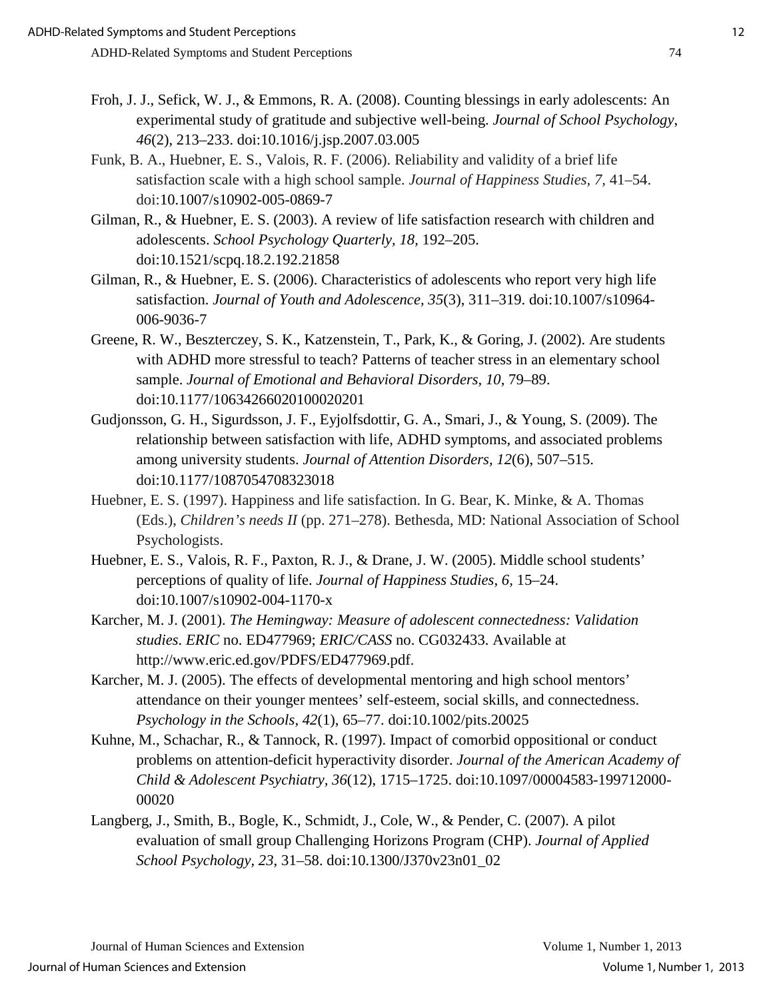- Froh, J. J., Sefick, W. J., & Emmons, R. A. (2008). Counting blessings in early adolescents: An experimental study of gratitude and subjective well-being. *Journal of School Psychology*, *46*(2), 213–233. doi:10.1016/j.jsp.2007.03.005
- Funk, B. A., Huebner, E. S., Valois, R. F. (2006). Reliability and validity of a brief life satisfaction scale with a high school sample. *Journal of Happiness Studies, 7,* 41–54. doi:10.1007/s10902-005-0869-7
- Gilman, R., & Huebner, E. S. (2003). A review of life satisfaction research with children and adolescents. *School Psychology Quarterly, 18,* 192–205. doi[:10.1521/scpq.18.2.192.21858](http://psycnet.apa.org/doi/10.1521/scpq.18.2.192.21858)
- Gilman, R., & Huebner, E. S. (2006). Characteristics of adolescents who report very high life satisfaction. *Journal of Youth and Adolescence, 35*(3), 311–319. doi:10.1007/s10964- 006-9036-7
- Greene, R. W., Beszterczey, S. K., Katzenstein, T., Park, K., & Goring, J. (2002). Are students with ADHD more stressful to teach? Patterns of teacher stress in an elementary school sample. *Journal of Emotional and Behavioral Disorders, 10,* 79–89. doi:10.1177/10634266020100020201
- Gudjonsson, G. H., Sigurdsson, J. F., Eyjolfsdottir, G. A., Smari, J., & Young, S. (2009). The relationship between satisfaction with life, ADHD symptoms, and associated problems among university students. *Journal of Attention Disorders, 12*(6), 507–515. doi:10.1177/1087054708323018
- Huebner, E. S. (1997). Happiness and life satisfaction. In G. Bear, K. Minke, & A. Thomas (Eds.), *Children's needs II* (pp. 271–278). Bethesda, MD: National Association of School Psychologists.
- Huebner, E. S., Valois, R. F., Paxton, R. J., & Drane, J. W. (2005). Middle school students' perceptions of quality of life. *Journal of Happiness Studies, 6,* 15–24. doi:10.1007/s10902-004-1170-x
- Karcher, M. J. (2001). *The Hemingway: Measure of adolescent connectedness: Validation studies*. *ERIC* no. ED477969; *ERIC/CASS* no. CG032433. Available at http://www.eric.ed.gov/PDFS/ED477969.pdf.
- Karcher, M. J. (2005). The effects of developmental mentoring and high school mentors' attendance on their younger mentees' self-esteem, social skills, and connectedness. *Psychology in the Schools, 42*(1), 65–77. doi:10.1002/pits.20025
- Kuhne, M., Schachar, R., & Tannock, R. (1997). Impact of comorbid oppositional or conduct problems on attention-deficit hyperactivity disorder. *Journal of the American Academy of Child & Adolescent Psychiatry, 36*(12), 1715–1725. doi:10.1097/00004583-199712000- 00020
- Langberg, J., Smith, B., Bogle, K., Schmidt, J., Cole, W., & Pender, C. (2007). A pilot evaluation of small group Challenging Horizons Program (CHP). *Journal of Applied School Psychology, 23*, 31–58. doi:10.1300/J370v23n01\_02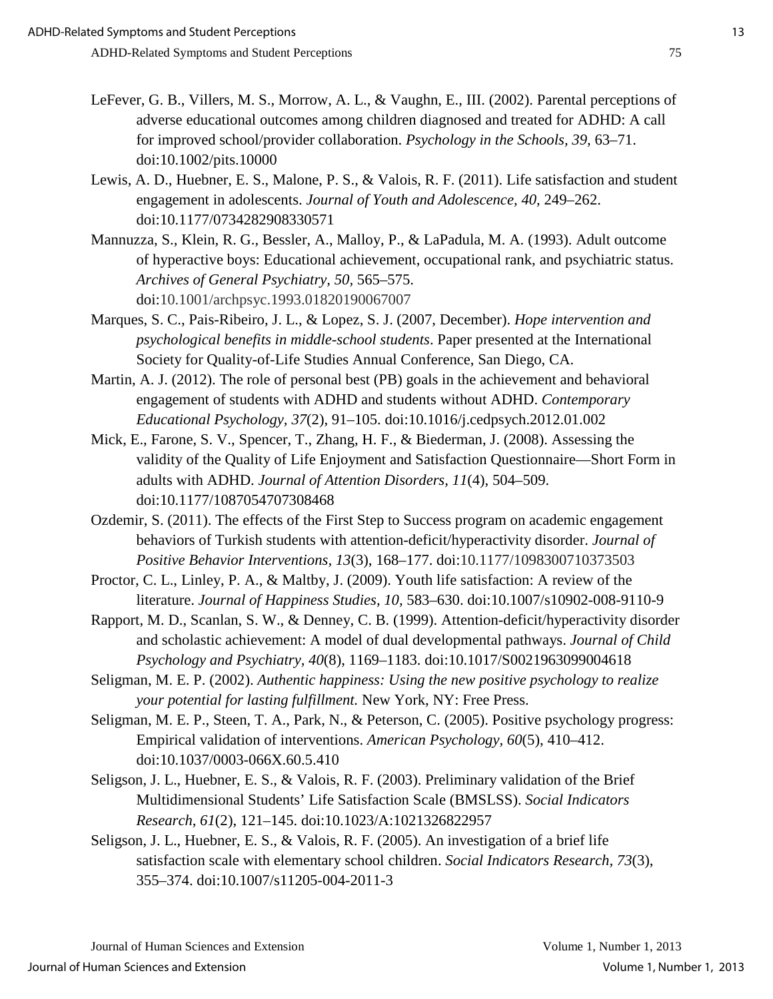- LeFever, G. B., Villers, M. S., Morrow, A. L., & Vaughn, E., III. (2002). Parental perceptions of adverse educational outcomes among children diagnosed and treated for ADHD: A call for improved school/provider collaboration. *Psychology in the Schools, 39,* 63–71. doi:10.1002/pits.10000
- Lewis, A. D., Huebner, E. S., Malone, P. S., & Valois, R. F. (2011). Life satisfaction and student engagement in adolescents. *Journal of Youth and Adolescence, 40,* 249–262. doi[:10.1177/0734282908330571](http://dx.doi.org/10.1177/0734282908330571)
- Mannuzza, S., Klein, R. G., Bessler, A., Malloy, P., & LaPadula, M. A. (1993). Adult outcome of hyperactive boys: Educational achievement, occupational rank, and psychiatric status. *Archives of General Psychiatry, 50,* 565–575. doi:10.1001/archpsyc.1993.01820190067007
- Marques, S. C., Pais-Ribeiro, J. L., & Lopez, S. J. (2007, December). *Hope intervention and psychological benefits in middle-school students*. Paper presented at the International Society for Quality-of-Life Studies Annual Conference, San Diego, CA.
- Martin, A. J. (2012). The role of personal best (PB) goals in the achievement and behavioral engagement of students with ADHD and students without ADHD. *Contemporary Educational Psychology, 37*(2), 91–105. doi:10.1016/j.cedpsych.2012.01.002
- Mick, E., Farone, S. V., Spencer, T., Zhang, H. F., & Biederman, J. (2008). Assessing the validity of the Quality of Life Enjoyment and Satisfaction Questionnaire—Short Form in adults with ADHD. *Journal of Attention Disorders, 11*(4), 504–509. doi:10.1177/1087054707308468
- Ozdemir, S. (2011). The effects of the First Step to Success program on academic engagement behaviors of Turkish students with attention-deficit/hyperactivity disorder. *Journal of Positive Behavior Interventions, 13*(3), 168–177. doi:10.1177/1098300710373503
- Proctor, C. L., Linley, P. A., & Maltby, J. (2009). Youth life satisfaction: A review of the literature. *Journal of Happiness Studies, 10,* 583–630. doi:10.1007/s10902-008-9110-9
- Rapport, M. D., Scanlan, S. W., & Denney, C. B. (1999). Attention-deficit/hyperactivity disorder and scholastic achievement: A model of dual developmental pathways. *Journal of Child Psychology and Psychiatry, 40*(8), 1169–1183. doi:10.1017/S0021963099004618
- Seligman, M. E. P. (2002). *Authentic happiness: Using the new positive psychology to realize your potential for lasting fulfillment.* New York, NY: Free Press.
- Seligman, M. E. P., Steen, T. A., Park, N., & Peterson, C. (2005). Positive psychology progress: Empirical validation of interventions. *American Psychology, 60*(5), 410–412. doi:10.1037/0003-066X.60.5.410
- Seligson, J. L., Huebner, E. S., & Valois, R. F. (2003). Preliminary validation of the Brief Multidimensional Students' Life Satisfaction Scale (BMSLSS). *Social Indicators Research, 61*(2), 121–145. doi:10.1023/A:1021326822957
- Seligson, J. L., Huebner, E. S., & Valois, R. F. (2005). An investigation of a brief life satisfaction scale with elementary school children. *Social Indicators Research, 73*(3), 355–374. doi:10.1007/s11205-004-2011-3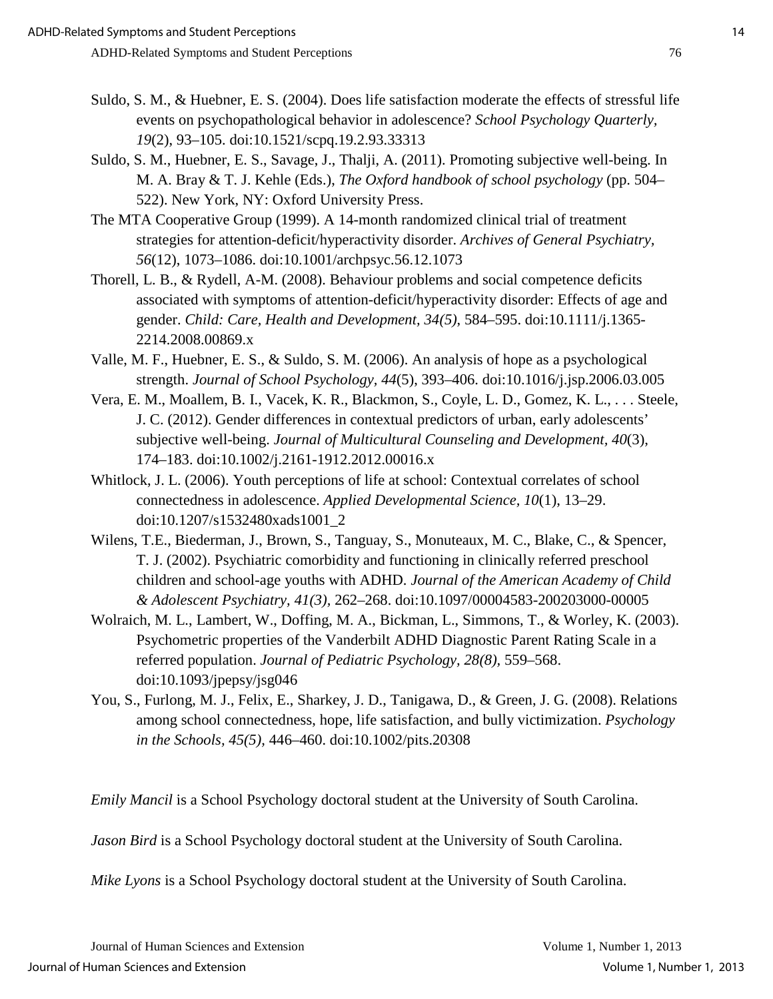- Suldo, S. M., & Huebner, E. S. (2004). Does life satisfaction moderate the effects of stressful life events on psychopathological behavior in adolescence? *School Psychology Quarterly, 19*(2), 93–105. doi:10.1521/scpq.19.2.93.33313
- Suldo, S. M., Huebner, E. S., Savage, J., Thalji, A. (2011). Promoting subjective well-being. In M. A. Bray & T. J. Kehle (Eds.), *The Oxford handbook of school psychology* (pp. 504– 522). New York, NY: Oxford University Press.
- The MTA Cooperative Group (1999). A 14-month randomized clinical trial of treatment strategies for attention-deficit/hyperactivity disorder. *Archives of General Psychiatry, 56*(12), 1073–1086. doi:10.1001/archpsyc.56.12.1073
- Thorell, L. B., & Rydell, A-M. (2008). Behaviour problems and social competence deficits associated with symptoms of attention-deficit/hyperactivity disorder: Effects of age and gender. *Child: Care, Health and Development, 34(5)*, 584–595. doi:10.1111/j.1365- 2214.2008.00869.x
- Valle, M. F., Huebner, E. S., & Suldo, S. M. (2006). An analysis of hope as a psychological strength. *Journal of School Psychology, 44*(5), 393–406. doi[:10.1016/j.jsp.2006.03.005](http://dx.doi.org/10.1016/j.jsp.2006.03.005)
- Vera, E. M., Moallem, B. I., Vacek, K. R., Blackmon, S., Coyle, L. D., Gomez, K. L., . . . Steele, J. C. (2012). Gender differences in contextual predictors of urban, early adolescents' subjective well-being. *Journal of Multicultural Counseling and Development, 40*(3), 174–183. doi:10.1002/j.2161-1912.2012.00016.x
- Whitlock, J. L. (2006). Youth perceptions of life at school: Contextual correlates of school connectedness in adolescence. *Applied Developmental Science, 10*(1), 13–29. doi:10.1207/s1532480xads1001\_2
- Wilens, T.E., Biederman, J., Brown, S., Tanguay, S., Monuteaux, M. C., Blake, C., & Spencer, T. J. (2002). Psychiatric comorbidity and functioning in clinically referred preschool children and school-age youths with ADHD. *Journal of the American Academy of Child & Adolescent Psychiatry, 41(3),* 262–268. doi[:10.1097/00004583-200203000-00005](http://dx.doi.org/10.1097/00004583-200203000-00005)
- Wolraich, M. L., Lambert, W., Doffing, M. A., Bickman, L., Simmons, T., & Worley, K. (2003). Psychometric properties of the Vanderbilt ADHD Diagnostic Parent Rating Scale in a referred population. *Journal of Pediatric Psychology, 28(8),* 559–568. doi:10.1093/jpepsy/jsg046
- You, S., Furlong, M. J., Felix, E., Sharkey, J. D., Tanigawa, D., & Green, J. G. (2008). Relations among school connectedness, hope, life satisfaction, and bully victimization. *Psychology in the Schools, 45(5),* 446–460. doi:10.1002/pits.20308

*Emily Mancil* is a School Psychology doctoral student at the University of South Carolina.

*Jason Bird* is a School Psychology doctoral student at the University of South Carolina.

*Mike Lyons* is a School Psychology doctoral student at the University of South Carolina.

Journal of Human Sciences and Extension Volume 1, Number 1, 2013